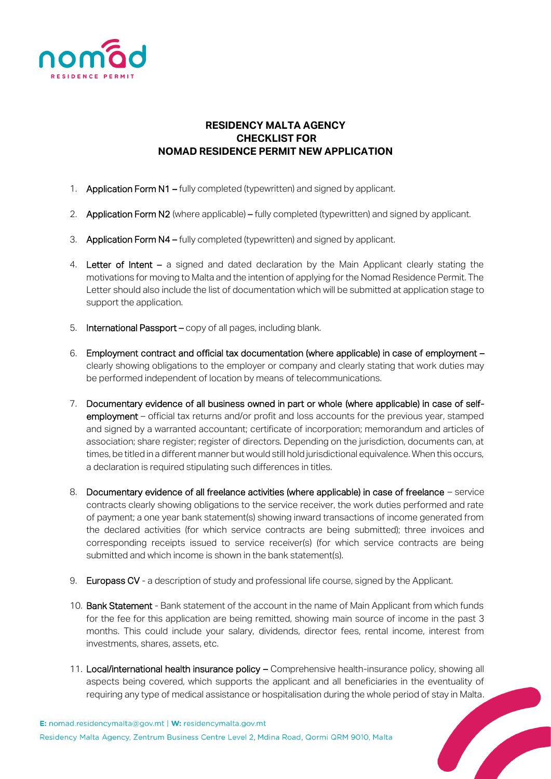

## **RESIDENCY MALTA AGENCY CHECKLIST FOR NOMAD RESIDENCE PERMIT NEW APPLICATION**

- 1. Application Form N1 fully completed (typewritten) and signed by applicant.
- 2. Application Form N2 (where applicable) fully completed (typewritten) and signed by applicant.
- 3. Application Form N4 fully completed (typewritten) and signed by applicant.
- 4. Letter of Intent a signed and dated declaration by the Main Applicant clearly stating the motivations for moving to Malta and the intention of applying for the Nomad Residence Permit. The Letter should also include the list of documentation which will be submitted at application stage to support the application.
- 5. International Passport copy of all pages, including blank.
- 6. Employment contract and official tax documentation (where applicable) in case of employment clearly showing obligations to the employer or company and clearly stating that work duties may be performed independent of location by means of telecommunications.
- 7. Documentary evidence of all business owned in part or whole (where applicable) in case of selfemployment – official tax returns and/or profit and loss accounts for the previous year, stamped and signed by a warranted accountant; certificate of incorporation; memorandum and articles of association; share register; register of directors. Depending on the jurisdiction, documents can, at times, be titled in a different manner but would still hold jurisdictional equivalence. When this occurs, a declaration is required stipulating such differences in titles.
- 8. Documentary evidence of all freelance activities (where applicable) in case of freelance service contracts clearly showing obligations to the service receiver, the work duties performed and rate of payment; a one year bank statement(s) showing inward transactions of income generated from the declared activities (for which service contracts are being submitted); three invoices and corresponding receipts issued to service receiver(s) (for which service contracts are being submitted and which income is shown in the bank statement(s).
- 9. Europass CV a description of study and professional life course, signed by the Applicant.
- 10. Bank Statement Bank statement of the account in the name of Main Applicant from which funds for the fee for this application are being remitted, showing main source of income in the past 3 months. This could include your salary, dividends, director fees, rental income, interest from investments, shares, assets, etc.
- 11. Local/international health insurance policy Comprehensive health-insurance policy, showing all aspects being covered, which supports the applicant and all beneficiaries in the eventuality of requiring any type of medical assistance or hospitalisation during the whole period of stay in Malta.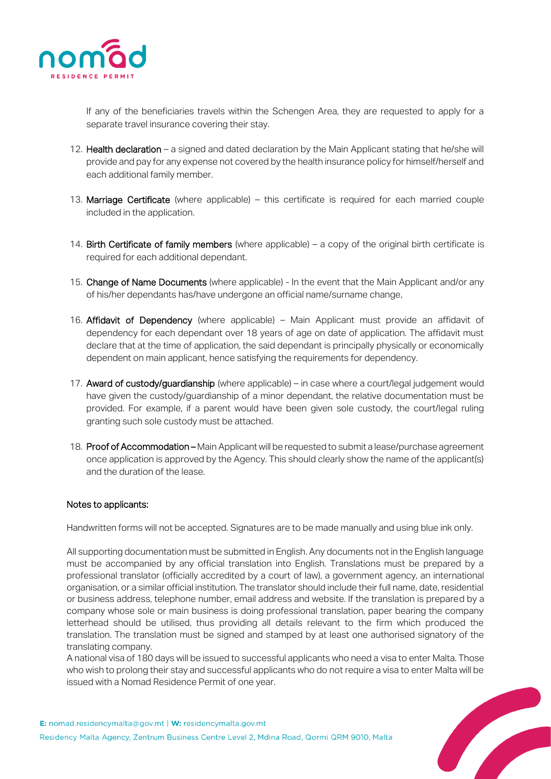

If any of the beneficiaries travels within the Schengen Area, they are requested to apply for a separate travel insurance covering their stay.

- 12. Health declaration a signed and dated declaration by the Main Applicant stating that he/she will provide and pay for any expense not covered by the health insurance policy for himself/herself and each additional family member.
- 13. Marriage Certificate (where applicable) this certificate is required for each married couple included in the application.
- 14. Birth Certificate of family members (where applicable) a copy of the original birth certificate is required for each additional dependant.
- 15. Change of Name Documents (where applicable) In the event that the Main Applicant and/or any of his/her dependants has/have undergone an official name/surname change,
- 16. Affidavit of Dependency (where applicable) Main Applicant must provide an affidavit of dependency for each dependant over 18 years of age on date of application. The affidavit must declare that at the time of application, the said dependant is principally physically or economically dependent on main applicant, hence satisfying the requirements for dependency.
- 17. Award of custody/guardianship (where applicable) in case where a court/legal judgement would have given the custody/guardianship of a minor dependant, the relative documentation must be provided. For example, if a parent would have been given sole custody, the court/legal ruling granting such sole custody must be attached.
- 18. Proof of Accommodation Main Applicant will be requested to submit a lease/purchase agreement once application is approved by the Agency. This should clearly show the name of the applicant(s) and the duration of the lease.

## Notes to applicants:

Handwritten forms will not be accepted. Signatures are to be made manually and using blue ink only.

All supporting documentation must be submitted in English. Any documents not in the English language must be accompanied by any official translation into English. Translations must be prepared by a professional translator (officially accredited by a court of law), a government agency, an international organisation, or a similar official institution. The translator should include their full name, date, residential or business address, telephone number, email address and website. If the translation is prepared by a company whose sole or main business is doing professional translation, paper bearing the company letterhead should be utilised, thus providing all details relevant to the firm which produced the translation. The translation must be signed and stamped by at least one authorised signatory of the translating company.

A national visa of 180 days will be issued to successful applicants who need a visa to enter Malta. Those who wish to prolong their stay and successful applicants who do not require a visa to enter Malta will be issued with a Nomad Residence Permit of one year.